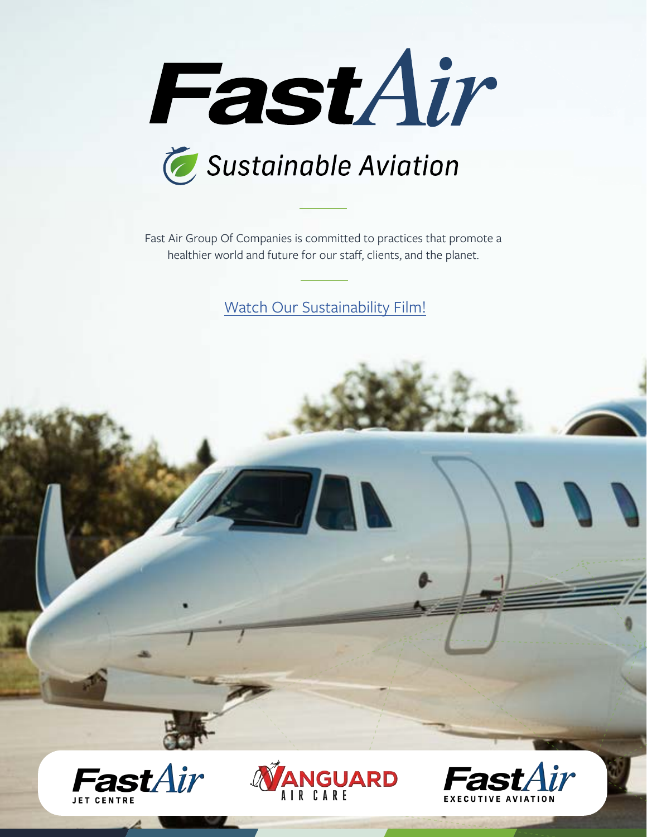



Fast Air Group Of Companies is committed to practices that promote a healthier world and future for our staff, clients, and the planet.

[Watch Our Sustainability Film!](https://www.youtube.com/watch?v=PV1L65VwIsA&t=20s&ab_channel=FastAir)





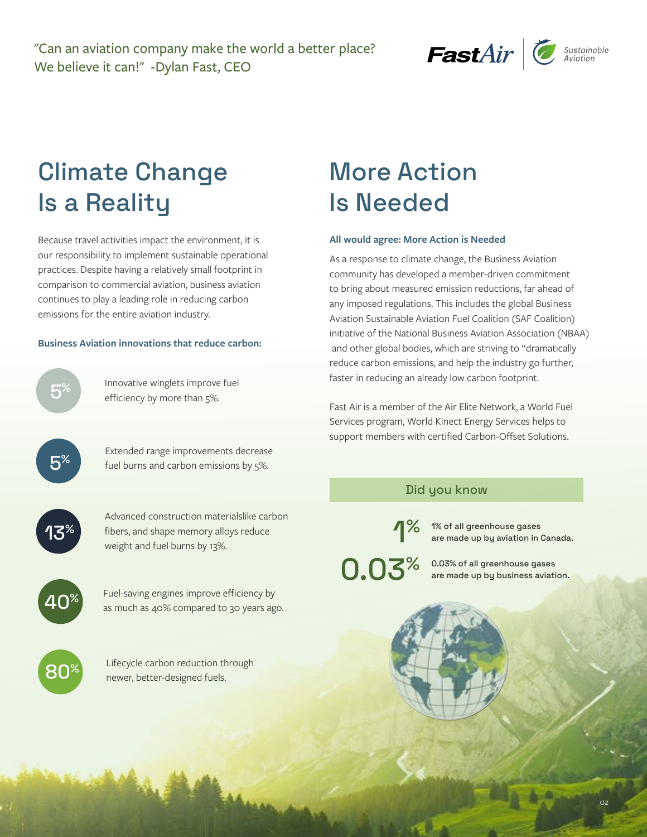"Can an aviation company make the world a better place? We believe it can!" -Dylan Fast, CEO



# Climate Change Is a Reality

Because travel activities impact the environment, it is our responsibility to implement sustainable operational practices. Despite having a relatively small footprint in comparison to commercial aviation, business aviation continues to play a leading role in reducing carbon emissions for the entire aviation industry.

#### **Business Aviation innovations that reduce carbon:**



Innovative winglets improve fuel<br>efficiency by more than 5%.

Extended range improvements decrease fuel burns and carbon emissions by 5%.



Advanced construction materialslike carbon fibers, and shape memory alloys reduce weight and fuel burns by 13%.



Fuel-saving engines improve efficiency by<br>as much as 40% compared to 30 years ago.



Lifecycle carbon reduction through<br>newer, better-designed fuels.

# More Action Is Needed

#### **All would agree: More Action is Needed**

As a response to climate change, the Business Aviation community has developed a member-driven commitment to bring about measured emission reductions, far ahead of any imposed regulations. This includes the global Business Aviation Sustainable Aviation Fuel Coalition (SAF Coalition) initiative of the National Business Aviation Association (NBAA) and other global bodies, which are striving to "dramatically reduce carbon emissions, and help the industry go further, faster in reducing an already low carbon footprint.

Fast Air is a member of the Air Elite Network, a World Fuel Services program, World Kinect Energy Services helps to support members with certified Carbon-Offset Solutions.

### Did you know

1% of all greenhouse gases are made up by aviation in Canada. 1%

0.03% of all greenhouse gases<br>are made up by business aviati are made up by business aviation.

 $\Omega$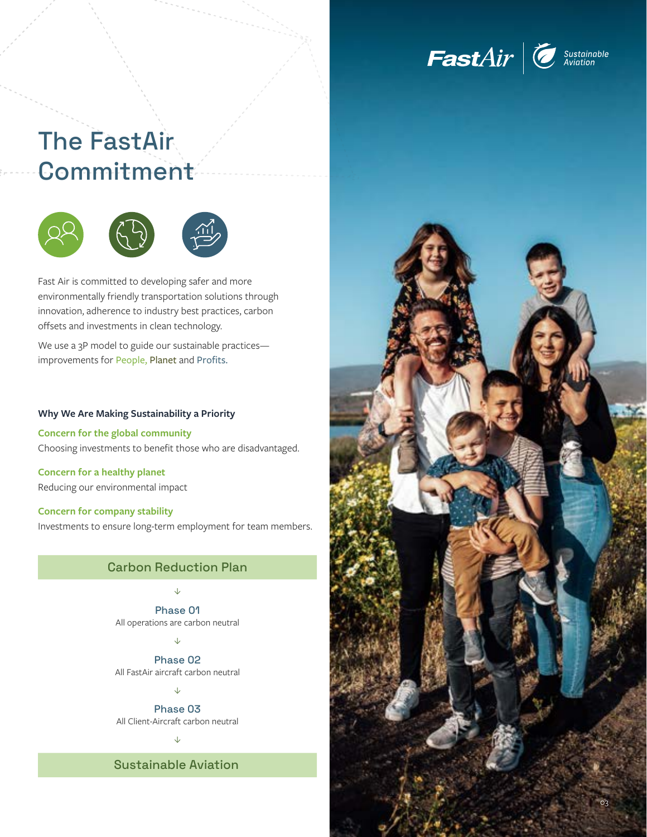

# The FastAir **Commitment**



Fast Air is committed to developing safer and more environmentally friendly transportation solutions through innovation, adherence to industry best practices, carbon offsets and investments in clean technology.

We use a 3P model to guide our sustainable practicesimprovements for People, Planet and Profits.

#### **Why We Are Making Sustainability a Priority**

**Concern for the global community** Choosing investments to benefit those who are disadvantaged.

**Concern for a healthy planet** Reducing our environmental impact

**Concern for company stability** Investments to ensure long-term employment for team members.

## Carbon Reduction Plan

 $\sqrt{2}$ 

Phase 01 All operations are carbon neutral

 $\downarrow$ 

Phase 02 All FastAir aircraft carbon neutral

 $\downarrow$ 

Phase 03 All Client-Aircraft carbon neutral

 $\downarrow$ 

Sustainable Aviation

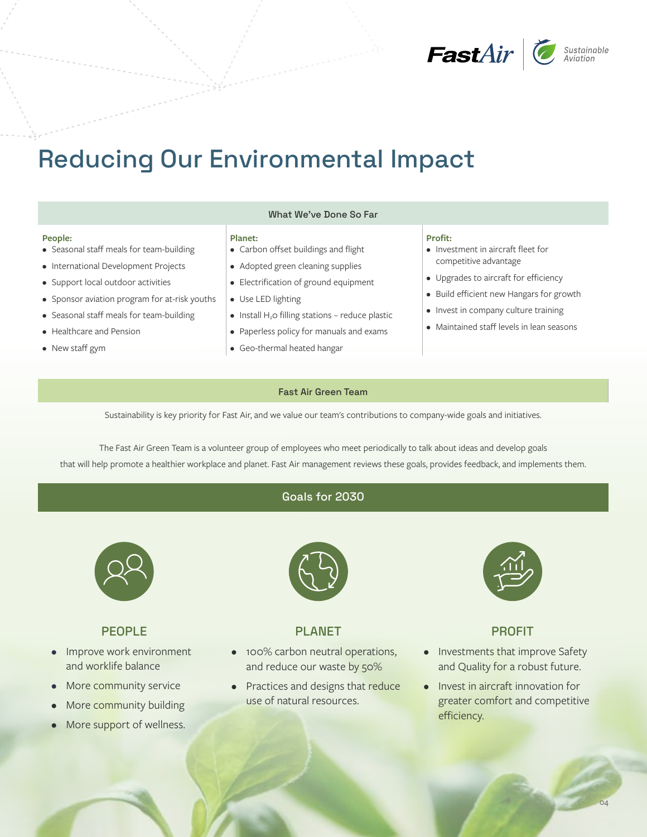

# Reducing Our Environmental Impact

#### **People:**

- Seasonal staff meals for team-building
- International Development Projects
- Support local outdoor activities
- Sponsor aviation program for at-risk youths
- Seasonal staff meals for team-building
- Healthcare and Pension
- New staff gym

#### What We've Done So Far

#### **Planet:**

- Carbon offset buildings and flight
- Adopted green cleaning supplies
- Electrification of ground equipment
- Use LED lighting
- $\bullet$  Install H<sub>2</sub>O filling stations reduce plastic
- Paperless policy for manuals and exams
- Geo-thermal heated hangar

#### **Profit:**

- Investment in aircraft fleet for competitive advantage
- Upgrades to aircraft for efficiency
- Build efficient new Hangars for growth
- Invest in company culture training
- Maintained staff levels in lean seasons

#### Fast Air Green Team

Sustainability is key priority for Fast Air, and we value our team's contributions to company-wide goals and initiatives.

The Fast Air Green Team is a volunteer group of employees who meet periodically to talk about ideas and develop goals that will help promote a healthier workplace and planet. Fast Air management reviews these goals, provides feedback, and implements them.

### Goals for 2030



### PEOPLE

- Improve work environment and worklife balance
- More community service
- More community building
- More support of wellness.



# PLANET

- 100% carbon neutral operations, and reduce our waste by 50%
- Practices and designs that reduce use of natural resources.



### PROFIT

- Investments that improve Safety and Quality for a robust future.
- Invest in aircraft innovation for greater comfort and competitive efficiency.